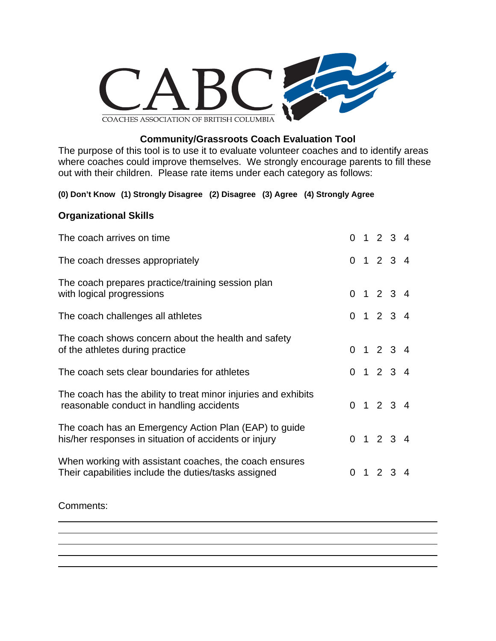

## **Community/Grassroots Coach Evaluation Tool**

The purpose of this tool is to use it to evaluate volunteer coaches and to identify areas where coaches could improve themselves. We strongly encourage parents to fill these out with their children. Please rate items under each category as follows:

### **(0) Don't Know (1) Strongly Disagree (2) Disagree (3) Agree (4) Strongly Agree**

### **Organizational Skills**

| The coach arrives on time                                                                                      |  | 0 1 2 3 4       |  |
|----------------------------------------------------------------------------------------------------------------|--|-----------------|--|
| The coach dresses appropriately                                                                                |  | 0 1 2 3 4       |  |
| The coach prepares practice/training session plan<br>with logical progressions                                 |  | 0 1 2 3 4       |  |
| The coach challenges all athletes                                                                              |  | 0 1 2 3 4       |  |
| The coach shows concern about the health and safety<br>of the athletes during practice                         |  | 0 1 2 3 4       |  |
| The coach sets clear boundaries for athletes                                                                   |  | 0 1 2 3 4       |  |
| The coach has the ability to treat minor injuries and exhibits<br>reasonable conduct in handling accidents     |  | 0 1 2 3 4       |  |
| The coach has an Emergency Action Plan (EAP) to guide<br>his/her responses in situation of accidents or injury |  | 0 1 2 3 4       |  |
| When working with assistant coaches, the coach ensures<br>Their capabilities include the duties/tasks assigned |  | $0 \t1 \t2 \t3$ |  |

### Comments:

 $\overline{a}$ 

 $\overline{a}$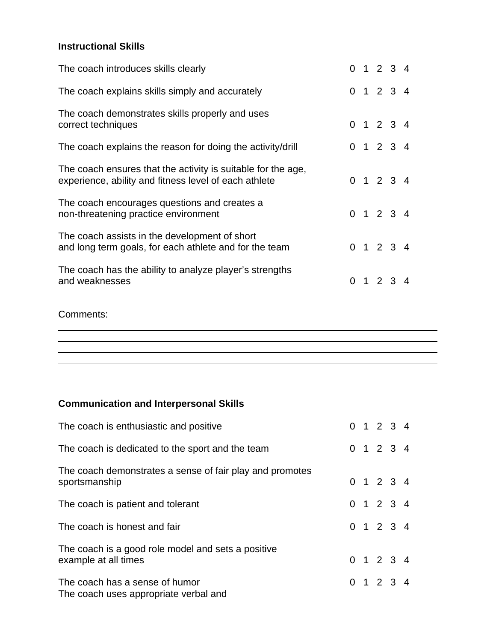## **Instructional Skills**

| The coach introduces skills clearly                                                                                   |  |                 | 0 1 2 3 4           |  |
|-----------------------------------------------------------------------------------------------------------------------|--|-----------------|---------------------|--|
| The coach explains skills simply and accurately                                                                       |  |                 | 0 1 2 3 4           |  |
| The coach demonstrates skills properly and uses<br>correct techniques                                                 |  |                 | 0 1 2 3 4           |  |
| The coach explains the reason for doing the activity/drill                                                            |  |                 | 0 1 2 3 4           |  |
| The coach ensures that the activity is suitable for the age,<br>experience, ability and fitness level of each athlete |  |                 | 0 1 2 3 4           |  |
| The coach encourages questions and creates a<br>non-threatening practice environment                                  |  |                 | 0 1 2 3 4           |  |
| The coach assists in the development of short<br>and long term goals, for each athlete and for the team               |  |                 | $0 \t1 \t2 \t3 \t4$ |  |
| The coach has the ability to analyze player's strengths<br>and weaknesses                                             |  | $0 \t1 \t2 \t3$ |                     |  |

Comments:

 $\overline{a}$ 

 $\overline{a}$ 

# **Communication and Interpersonal Skills**

| The coach is enthusiastic and positive                                     |  | 0 1 2 3 4 |  |
|----------------------------------------------------------------------------|--|-----------|--|
| The coach is dedicated to the sport and the team                           |  | 0 1 2 3 4 |  |
| The coach demonstrates a sense of fair play and promotes<br>sportsmanship  |  | 0 1 2 3 4 |  |
| The coach is patient and tolerant                                          |  | 0 1 2 3 4 |  |
| The coach is honest and fair                                               |  | 0 1 2 3 4 |  |
| The coach is a good role model and sets a positive<br>example at all times |  | 0 1 2 3 4 |  |
| The coach has a sense of humor<br>The coach uses appropriate verbal and    |  | 0 1 2 3 4 |  |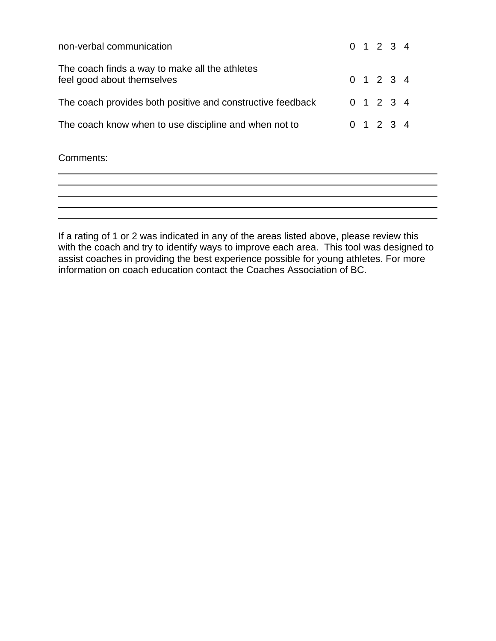| non-verbal communication                                                     |  | 0 1 2 3 4           |  |
|------------------------------------------------------------------------------|--|---------------------|--|
| The coach finds a way to make all the athletes<br>feel good about themselves |  | $0 \t1 \t2 \t3 \t4$ |  |
| The coach provides both positive and constructive feedback                   |  | 0 1 2 3 4           |  |
| The coach know when to use discipline and when not to                        |  | 0 1 2 3 4           |  |

Comments:

 $\overline{a}$ 

 $\overline{a}$ 

If a rating of 1 or 2 was indicated in any of the areas listed above, please review this with the coach and try to identify ways to improve each area. This tool was designed to assist coaches in providing the best experience possible for young athletes. For more information on coach education contact the Coaches Association of BC.